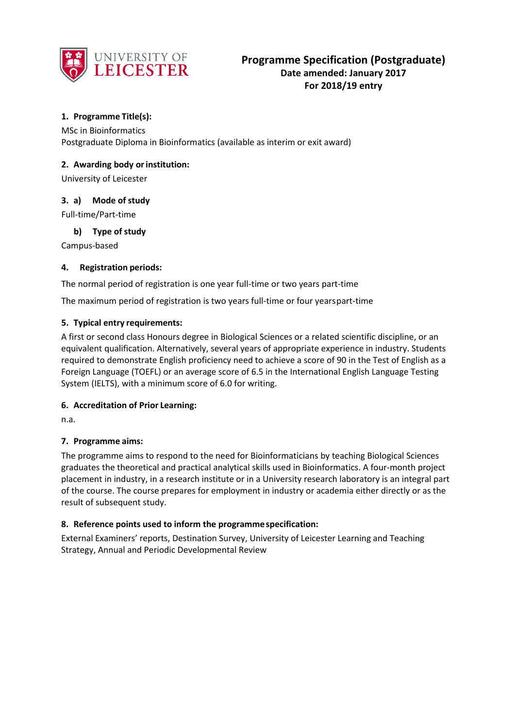

# **1. Programme Title(s):**

MSc in Bioinformatics Postgraduate Diploma in Bioinformatics (available as interim or exit award)

## **2. Awarding body orinstitution:**

University of Leicester

### **3. a) Mode of study**

Full-time/Part-time

### **b) Type of study**

Campus-based

### **4. Registration periods:**

The normal period of registration is one year full-time or two years part-time

The maximum period of registration is two years full-time or four yearspart-time

### **5. Typical entry requirements:**

A first or second class Honours degree in Biological Sciences or a related scientific discipline, or an equivalent qualification. Alternatively, several years of appropriate experience in industry. Students required to demonstrate English proficiency need to achieve a score of 90 in the Test of English as a Foreign Language (TOEFL) or an average score of 6.5 in the International English Language Testing System (IELTS), with a minimum score of 6.0 for writing.

#### **6. Accreditation of Prior Learning:**

n.a.

#### **7. Programme aims:**

The programme aims to respond to the need for Bioinformaticians by teaching Biological Sciences graduates the theoretical and practical analytical skills used in Bioinformatics. A four-month project placement in industry, in a research institute or in a University research laboratory is an integral part of the course. The course prepares for employment in industry or academia either directly or as the result of subsequent study.

## **8. Reference points used to inform the programmespecification:**

External Examiners' reports, Destination Survey, University of Leicester Learning and Teaching Strategy, Annual and Periodic Developmental Review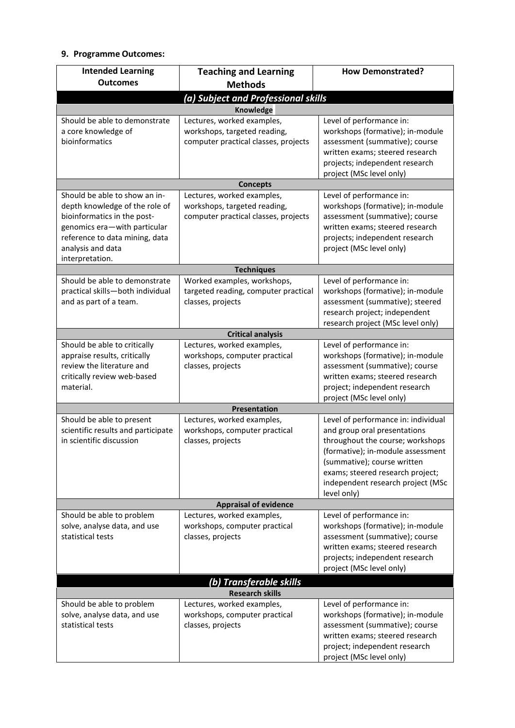## **9. Programme Outcomes:**

| <b>Intended Learning</b><br><b>Outcomes</b>                                                                                                                                                              | <b>Teaching and Learning</b>                                                                                    | <b>How Demonstrated?</b>                                                                                                                                                                                                                                            |  |
|----------------------------------------------------------------------------------------------------------------------------------------------------------------------------------------------------------|-----------------------------------------------------------------------------------------------------------------|---------------------------------------------------------------------------------------------------------------------------------------------------------------------------------------------------------------------------------------------------------------------|--|
|                                                                                                                                                                                                          | <b>Methods</b>                                                                                                  |                                                                                                                                                                                                                                                                     |  |
| (a) Subject and Professional skills                                                                                                                                                                      |                                                                                                                 |                                                                                                                                                                                                                                                                     |  |
| Should be able to demonstrate<br>a core knowledge of<br>bioinformatics                                                                                                                                   | Knowledge<br>Lectures, worked examples,<br>workshops, targeted reading,<br>computer practical classes, projects | Level of performance in:<br>workshops (formative); in-module<br>assessment (summative); course                                                                                                                                                                      |  |
|                                                                                                                                                                                                          |                                                                                                                 | written exams; steered research<br>projects; independent research<br>project (MSc level only)                                                                                                                                                                       |  |
| <b>Concepts</b>                                                                                                                                                                                          |                                                                                                                 |                                                                                                                                                                                                                                                                     |  |
| Should be able to show an in-<br>depth knowledge of the role of<br>bioinformatics in the post-<br>genomics era-with particular<br>reference to data mining, data<br>analysis and data<br>interpretation. | Lectures, worked examples,<br>workshops, targeted reading,<br>computer practical classes, projects              | Level of performance in:<br>workshops (formative); in-module<br>assessment (summative); course<br>written exams; steered research<br>projects; independent research<br>project (MSc level only)                                                                     |  |
| <b>Techniques</b>                                                                                                                                                                                        |                                                                                                                 |                                                                                                                                                                                                                                                                     |  |
| Should be able to demonstrate<br>practical skills-both individual<br>and as part of a team.                                                                                                              | Worked examples, workshops,<br>targeted reading, computer practical<br>classes, projects                        | Level of performance in:<br>workshops (formative); in-module<br>assessment (summative); steered<br>research project; independent<br>research project (MSc level only)                                                                                               |  |
| <b>Critical analysis</b>                                                                                                                                                                                 |                                                                                                                 |                                                                                                                                                                                                                                                                     |  |
| Should be able to critically<br>appraise results, critically<br>review the literature and<br>critically review web-based<br>material.                                                                    | Lectures, worked examples,<br>workshops, computer practical<br>classes, projects                                | Level of performance in:<br>workshops (formative); in-module<br>assessment (summative); course<br>written exams; steered research<br>project; independent research<br>project (MSc level only)                                                                      |  |
| Presentation                                                                                                                                                                                             |                                                                                                                 |                                                                                                                                                                                                                                                                     |  |
| Should be able to present<br>scientific results and participate<br>in scientific discussion                                                                                                              | Lectures, worked examples,<br>workshops, computer practical<br>classes, projects                                | Level of performance in: individual<br>and group oral presentations<br>throughout the course; workshops<br>(formative); in-module assessment<br>(summative); course written<br>exams; steered research project;<br>independent research project (MSc<br>level only) |  |
| <b>Appraisal of evidence</b>                                                                                                                                                                             |                                                                                                                 |                                                                                                                                                                                                                                                                     |  |
| Should be able to problem<br>solve, analyse data, and use<br>statistical tests                                                                                                                           | Lectures, worked examples,<br>workshops, computer practical<br>classes, projects                                | Level of performance in:<br>workshops (formative); in-module<br>assessment (summative); course<br>written exams; steered research<br>projects; independent research<br>project (MSc level only)                                                                     |  |
| (b) Transferable skills                                                                                                                                                                                  |                                                                                                                 |                                                                                                                                                                                                                                                                     |  |
| <b>Research skills</b>                                                                                                                                                                                   |                                                                                                                 |                                                                                                                                                                                                                                                                     |  |
| Should be able to problem<br>solve, analyse data, and use<br>statistical tests                                                                                                                           | Lectures, worked examples,<br>workshops, computer practical<br>classes, projects                                | Level of performance in:<br>workshops (formative); in-module<br>assessment (summative); course<br>written exams; steered research<br>project; independent research<br>project (MSc level only)                                                                      |  |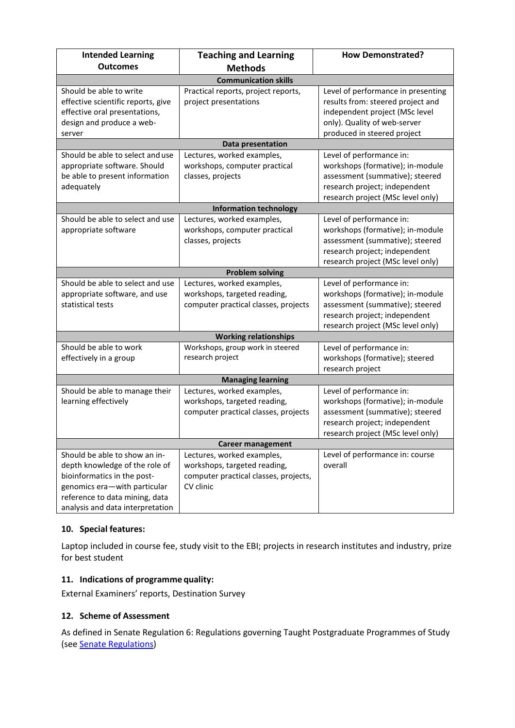| <b>Intended Learning</b>           | <b>Teaching and Learning</b>          | <b>How Demonstrated?</b>                                         |  |
|------------------------------------|---------------------------------------|------------------------------------------------------------------|--|
| <b>Outcomes</b>                    | <b>Methods</b>                        |                                                                  |  |
| <b>Communication skills</b>        |                                       |                                                                  |  |
| Should be able to write            | Practical reports, project reports,   | Level of performance in presenting                               |  |
| effective scientific reports, give | project presentations                 | results from: steered project and                                |  |
| effective oral presentations,      |                                       | independent project (MSc level                                   |  |
| design and produce a web-          |                                       | only). Quality of web-server                                     |  |
| server                             |                                       | produced in steered project                                      |  |
| Data presentation                  |                                       |                                                                  |  |
| Should be able to select and use   | Lectures, worked examples,            | Level of performance in:                                         |  |
| appropriate software. Should       | workshops, computer practical         | workshops (formative); in-module                                 |  |
| be able to present information     | classes, projects                     | assessment (summative); steered                                  |  |
| adequately                         |                                       | research project; independent                                    |  |
|                                    |                                       | research project (MSc level only)                                |  |
|                                    | <b>Information technology</b>         |                                                                  |  |
| Should be able to select and use   | Lectures, worked examples,            | Level of performance in:                                         |  |
| appropriate software               | workshops, computer practical         | workshops (formative); in-module                                 |  |
|                                    | classes, projects                     | assessment (summative); steered<br>research project; independent |  |
|                                    |                                       |                                                                  |  |
|                                    | <b>Problem solving</b>                | research project (MSc level only)                                |  |
| Should be able to select and use   | Lectures, worked examples,            | Level of performance in:                                         |  |
| appropriate software, and use      | workshops, targeted reading,          | workshops (formative); in-module                                 |  |
| statistical tests                  | computer practical classes, projects  | assessment (summative); steered                                  |  |
|                                    |                                       | research project; independent                                    |  |
|                                    |                                       | research project (MSc level only)                                |  |
| <b>Working relationships</b>       |                                       |                                                                  |  |
| Should be able to work             | Workshops, group work in steered      | Level of performance in:                                         |  |
| effectively in a group             | research project                      | workshops (formative); steered                                   |  |
|                                    |                                       | research project                                                 |  |
| <b>Managing learning</b>           |                                       |                                                                  |  |
| Should be able to manage their     | Lectures, worked examples,            | Level of performance in:                                         |  |
| learning effectively               | workshops, targeted reading,          | workshops (formative); in-module                                 |  |
|                                    | computer practical classes, projects  | assessment (summative); steered                                  |  |
|                                    |                                       | research project; independent                                    |  |
|                                    |                                       | research project (MSc level only)                                |  |
| <b>Career management</b>           |                                       |                                                                  |  |
| Should be able to show an in-      | Lectures, worked examples,            | Level of performance in: course                                  |  |
| depth knowledge of the role of     | workshops, targeted reading,          | overall                                                          |  |
| bioinformatics in the post-        | computer practical classes, projects, |                                                                  |  |
| genomics era-with particular       | CV clinic                             |                                                                  |  |
| reference to data mining, data     |                                       |                                                                  |  |
| analysis and data interpretation   |                                       |                                                                  |  |

# **10. Special features:**

Laptop included in course fee, study visit to the EBI; projects in research institutes and industry, prize for best student

# **11. Indications of programme quality:**

External Examiners' reports, Destination Survey

## **12. Scheme of Assessment**

As defined in Senate Regulation 6: Regulations governing Taught Postgraduate Programmes of Study (see [Senate Regulations\)](http://www2.le.ac.uk/offices/sas2/regulations/general-regulations-for-taught-programmes)